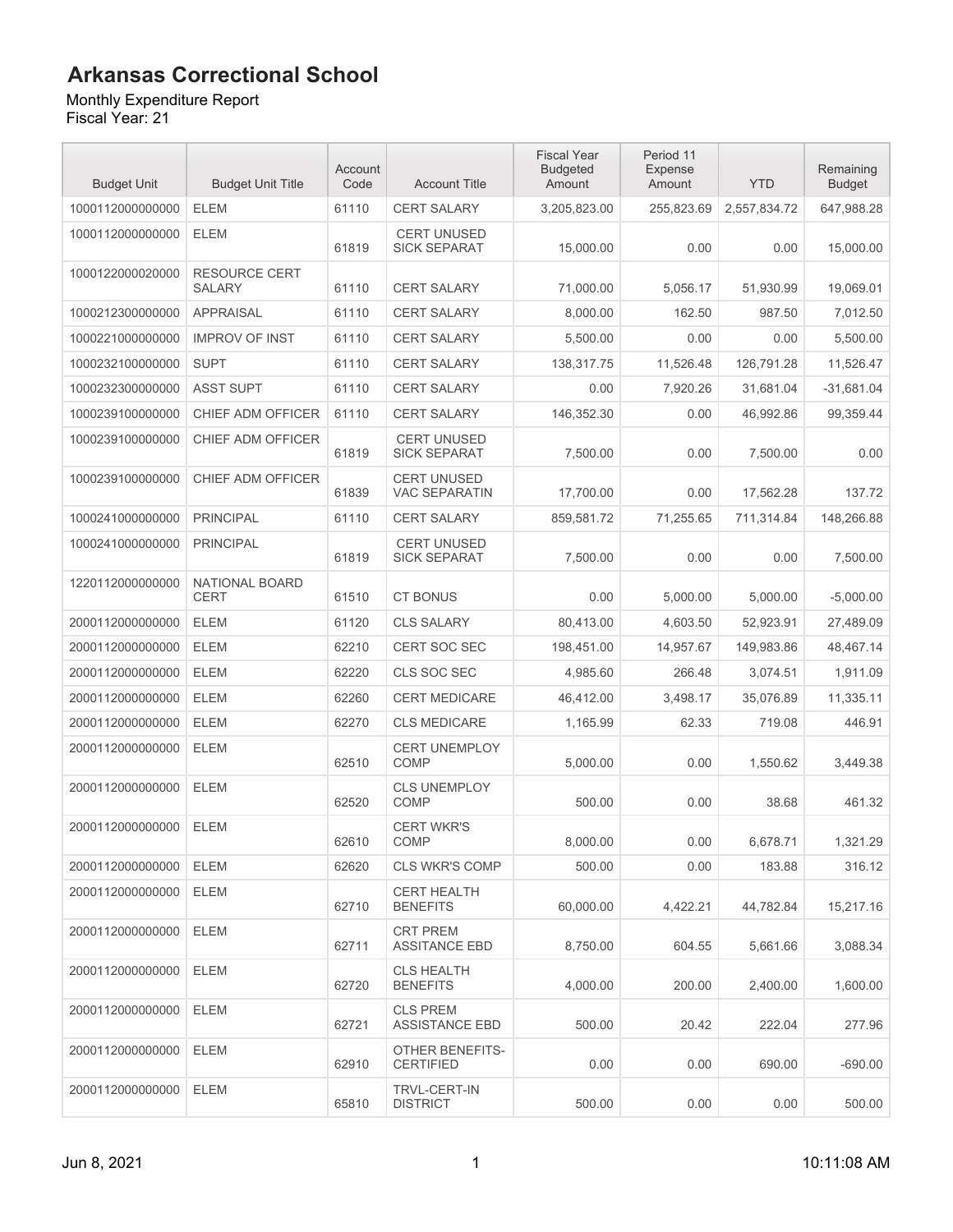Monthly Expenditure Report

| <b>Budget Unit</b> | <b>Budget Unit Title</b>              | Account<br>Code | <b>Account Title</b>                       | <b>Fiscal Year</b><br><b>Budgeted</b><br>Amount | Period 11<br>Expense<br>Amount | <b>YTD</b>   | Remaining<br><b>Budget</b> |
|--------------------|---------------------------------------|-----------------|--------------------------------------------|-------------------------------------------------|--------------------------------|--------------|----------------------------|
| 1000112000000000   | <b>ELEM</b>                           | 61110           | <b>CERT SALARY</b>                         | 3,205,823.00                                    | 255,823.69                     | 2,557,834.72 | 647,988.28                 |
| 1000112000000000   | <b>ELEM</b>                           | 61819           | <b>CERT UNUSED</b><br><b>SICK SEPARAT</b>  | 15,000.00                                       | 0.00                           | 0.00         | 15,000.00                  |
| 1000122000020000   | <b>RESOURCE CERT</b><br><b>SALARY</b> | 61110           | <b>CERT SALARY</b>                         | 71,000.00                                       | 5,056.17                       | 51,930.99    | 19,069.01                  |
| 1000212300000000   | <b>APPRAISAL</b>                      | 61110           | <b>CERT SALARY</b>                         | 8,000.00                                        | 162.50                         | 987.50       | 7,012.50                   |
| 1000221000000000   | <b>IMPROV OF INST</b>                 | 61110           | <b>CERT SALARY</b>                         | 5,500.00                                        | 0.00                           | 0.00         | 5,500.00                   |
| 1000232100000000   | <b>SUPT</b>                           | 61110           | CERT SALARY                                | 138,317.75                                      | 11,526.48                      | 126,791.28   | 11,526.47                  |
| 1000232300000000   | <b>ASST SUPT</b>                      | 61110           | CERT SALARY                                | 0.00                                            | 7,920.26                       | 31,681.04    | $-31,681.04$               |
| 1000239100000000   | CHIEF ADM OFFICER                     | 61110           | <b>CERT SALARY</b>                         | 146,352.30                                      | 0.00                           | 46,992.86    | 99,359.44                  |
| 1000239100000000   | <b>CHIEF ADM OFFICER</b>              | 61819           | <b>CERT UNUSED</b><br><b>SICK SEPARAT</b>  | 7,500.00                                        | 0.00                           | 7,500.00     | 0.00                       |
| 1000239100000000   | CHIEF ADM OFFICER                     | 61839           | <b>CERT UNUSED</b><br><b>VAC SEPARATIN</b> | 17.700.00                                       | 0.00                           | 17,562.28    | 137.72                     |
| 1000241000000000   | <b>PRINCIPAL</b>                      | 61110           | <b>CERT SALARY</b>                         | 859,581.72                                      | 71,255.65                      | 711,314.84   | 148,266.88                 |
| 1000241000000000   | <b>PRINCIPAL</b>                      | 61819           | <b>CERT UNUSED</b><br><b>SICK SEPARAT</b>  | 7,500.00                                        | 0.00                           | 0.00         | 7,500.00                   |
| 1220112000000000   | NATIONAL BOARD<br><b>CERT</b>         | 61510           | <b>CT BONUS</b>                            | 0.00                                            | 5,000.00                       | 5,000.00     | $-5,000.00$                |
| 2000112000000000   | <b>ELEM</b>                           | 61120           | <b>CLS SALARY</b>                          | 80,413.00                                       | 4,603.50                       | 52,923.91    | 27,489.09                  |
| 2000112000000000   | <b>ELEM</b>                           | 62210           | <b>CERT SOC SEC</b>                        | 198,451.00                                      | 14,957.67                      | 149,983.86   | 48,467.14                  |
| 2000112000000000   | <b>ELEM</b>                           | 62220           | CLS SOC SEC                                | 4,985.60                                        | 266.48                         | 3,074.51     | 1,911.09                   |
| 2000112000000000   | <b>ELEM</b>                           | 62260           | <b>CERT MEDICARE</b>                       | 46,412.00                                       | 3,498.17                       | 35,076.89    | 11,335.11                  |
| 2000112000000000   | <b>ELEM</b>                           | 62270           | <b>CLS MEDICARE</b>                        | 1,165.99                                        | 62.33                          | 719.08       | 446.91                     |
| 2000112000000000   | <b>ELEM</b>                           | 62510           | <b>CERT UNEMPLOY</b><br>COMP               | 5,000.00                                        | 0.00                           | 1,550.62     | 3.449.38                   |
| 2000112000000000   | <b>ELEM</b>                           | 62520           | <b>CLS UNEMPLOY</b><br>COMP                | 500.00                                          | 0.00                           | 38.68        | 461.32                     |
| 2000112000000000   | <b>ELEM</b>                           | 62610           | <b>CERT WKR'S</b><br><b>COMP</b>           | 8,000.00                                        | 0.00                           | 6,678.71     | 1,321.29                   |
| 2000112000000000   | ELEM                                  | 62620           | <b>CLS WKR'S COMP</b>                      | 500.00                                          | 0.00                           | 183.88       | 316.12                     |
| 2000112000000000   | ELEM                                  | 62710           | <b>CERT HEALTH</b><br><b>BENEFITS</b>      | 60,000.00                                       | 4,422.21                       | 44,782.84    | 15,217.16                  |
| 2000112000000000   | <b>ELEM</b>                           | 62711           | <b>CRT PREM</b><br><b>ASSITANCE EBD</b>    | 8,750.00                                        | 604.55                         | 5,661.66     | 3,088.34                   |
| 2000112000000000   | <b>ELEM</b>                           | 62720           | <b>CLS HEALTH</b><br><b>BENEFITS</b>       | 4,000.00                                        | 200.00                         | 2,400.00     | 1,600.00                   |
| 2000112000000000   | <b>ELEM</b>                           | 62721           | <b>CLS PREM</b><br><b>ASSISTANCE EBD</b>   | 500.00                                          | 20.42                          | 222.04       | 277.96                     |
| 2000112000000000   | <b>ELEM</b>                           | 62910           | <b>OTHER BENEFITS-</b><br><b>CERTIFIED</b> | 0.00                                            | 0.00                           | 690.00       | $-690.00$                  |
| 2000112000000000   | ELEM                                  | 65810           | <b>TRVL-CERT-IN</b><br><b>DISTRICT</b>     | 500.00                                          | 0.00                           | 0.00         | 500.00                     |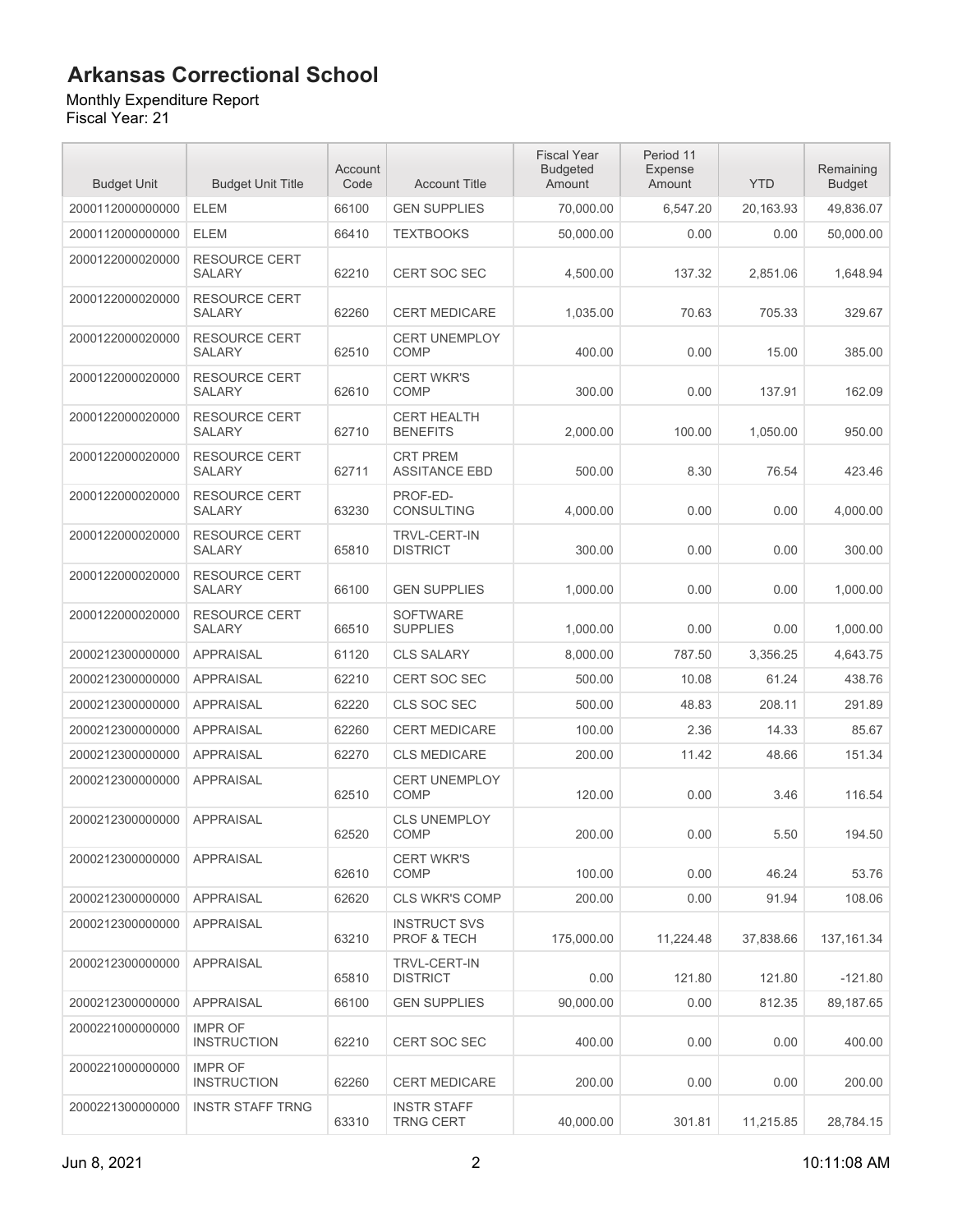#### Monthly Expenditure Report

| <b>Budget Unit</b> | <b>Budget Unit Title</b>              | Account<br>Code | <b>Account Title</b>                          | <b>Fiscal Year</b><br><b>Budgeted</b><br>Amount | Period 11<br><b>Expense</b><br>Amount | <b>YTD</b> | Remaining<br><b>Budget</b> |
|--------------------|---------------------------------------|-----------------|-----------------------------------------------|-------------------------------------------------|---------------------------------------|------------|----------------------------|
| 2000112000000000   | <b>ELEM</b>                           | 66100           | <b>GEN SUPPLIES</b>                           | 70,000.00                                       | 6,547.20                              | 20,163.93  | 49,836.07                  |
| 2000112000000000   | <b>ELEM</b>                           | 66410           | <b>TEXTBOOKS</b>                              | 50,000.00                                       | 0.00                                  | 0.00       | 50,000.00                  |
| 2000122000020000   | RESOURCE CERT<br><b>SALARY</b>        | 62210           | <b>CERT SOC SEC</b>                           | 4,500.00                                        | 137.32                                | 2,851.06   | 1,648.94                   |
| 2000122000020000   | <b>RESOURCE CERT</b><br><b>SALARY</b> | 62260           | <b>CERT MEDICARE</b>                          | 1,035.00                                        | 70.63                                 | 705.33     | 329.67                     |
| 2000122000020000   | <b>RESOURCE CERT</b><br>SALARY        | 62510           | <b>CERT UNEMPLOY</b><br>COMP                  | 400.00                                          | 0.00                                  | 15.00      | 385.00                     |
| 2000122000020000   | <b>RESOURCE CERT</b><br><b>SALARY</b> | 62610           | <b>CERT WKR'S</b><br><b>COMP</b>              | 300.00                                          | 0.00                                  | 137.91     | 162.09                     |
| 2000122000020000   | <b>RESOURCE CERT</b><br><b>SALARY</b> | 62710           | <b>CERT HEALTH</b><br><b>BENEFITS</b>         | 2,000.00                                        | 100.00                                | 1,050.00   | 950.00                     |
| 2000122000020000   | RESOURCE CERT<br><b>SALARY</b>        | 62711           | <b>CRT PREM</b><br><b>ASSITANCE EBD</b>       | 500.00                                          | 8.30                                  | 76.54      | 423.46                     |
| 2000122000020000   | RESOURCE CERT<br><b>SALARY</b>        | 63230           | PROF-ED-<br><b>CONSULTING</b>                 | 4,000.00                                        | 0.00                                  | 0.00       | 4,000.00                   |
| 2000122000020000   | <b>RESOURCE CERT</b><br><b>SALARY</b> | 65810           | <b>TRVL-CERT-IN</b><br><b>DISTRICT</b>        | 300.00                                          | 0.00                                  | 0.00       | 300.00                     |
| 2000122000020000   | <b>RESOURCE CERT</b><br><b>SALARY</b> | 66100           | <b>GEN SUPPLIES</b>                           | 1,000.00                                        | 0.00                                  | 0.00       | 1,000.00                   |
| 2000122000020000   | <b>RESOURCE CERT</b><br><b>SALARY</b> | 66510           | <b>SOFTWARE</b><br><b>SUPPLIES</b>            | 1,000.00                                        | 0.00                                  | 0.00       | 1,000.00                   |
| 2000212300000000   | <b>APPRAISAL</b>                      | 61120           | <b>CLS SALARY</b>                             | 8,000.00                                        | 787.50                                | 3,356.25   | 4,643.75                   |
| 2000212300000000   | <b>APPRAISAL</b>                      | 62210           | <b>CERT SOC SEC</b>                           | 500.00                                          | 10.08                                 | 61.24      | 438.76                     |
| 2000212300000000   | <b>APPRAISAL</b>                      | 62220           | CLS SOC SEC                                   | 500.00                                          | 48.83                                 | 208.11     | 291.89                     |
| 2000212300000000   | <b>APPRAISAL</b>                      | 62260           | <b>CERT MEDICARE</b>                          | 100.00                                          | 2.36                                  | 14.33      | 85.67                      |
| 2000212300000000   | <b>APPRAISAL</b>                      | 62270           | <b>CLS MEDICARE</b>                           | 200.00                                          | 11.42                                 | 48.66      | 151.34                     |
| 2000212300000000   | <b>APPRAISAL</b>                      | 62510           | <b>CERT UNEMPLOY</b><br><b>COMP</b>           | 120.00                                          | 0.00                                  | 3.46       | 116.54                     |
| 2000212300000000   | <b>APPRAISAL</b>                      | 62520           | <b>CLS UNEMPLOY</b><br><b>COMP</b>            | 200.00                                          | 0.00                                  | 5.50       | 194.50                     |
| 2000212300000000   | APPRAISAL                             | 62610           | <b>CERT WKR'S</b><br><b>COMP</b>              | 100.00                                          | 0.00                                  | 46.24      | 53.76                      |
| 2000212300000000   | <b>APPRAISAL</b>                      | 62620           | <b>CLS WKR'S COMP</b>                         | 200.00                                          | 0.00                                  | 91.94      | 108.06                     |
| 2000212300000000   | <b>APPRAISAL</b>                      | 63210           | <b>INSTRUCT SVS</b><br><b>PROF &amp; TECH</b> | 175,000.00                                      | 11,224.48                             | 37.838.66  | 137, 161.34                |
| 2000212300000000   | <b>APPRAISAL</b>                      | 65810           | <b>TRVL-CERT-IN</b><br><b>DISTRICT</b>        | 0.00                                            | 121.80                                | 121.80     | $-121.80$                  |
| 2000212300000000   | <b>APPRAISAL</b>                      | 66100           | <b>GEN SUPPLIES</b>                           | 90,000.00                                       | 0.00                                  | 812.35     | 89,187.65                  |
| 2000221000000000   | <b>IMPR OF</b><br><b>INSTRUCTION</b>  | 62210           | <b>CERT SOC SEC</b>                           | 400.00                                          | 0.00                                  | 0.00       | 400.00                     |
| 2000221000000000   | <b>IMPR OF</b><br><b>INSTRUCTION</b>  | 62260           | <b>CERT MEDICARE</b>                          | 200.00                                          | 0.00                                  | 0.00       | 200.00                     |
| 2000221300000000   | <b>INSTR STAFF TRNG</b>               | 63310           | <b>INSTR STAFF</b><br><b>TRNG CERT</b>        | 40,000.00                                       | 301.81                                | 11,215.85  | 28,784.15                  |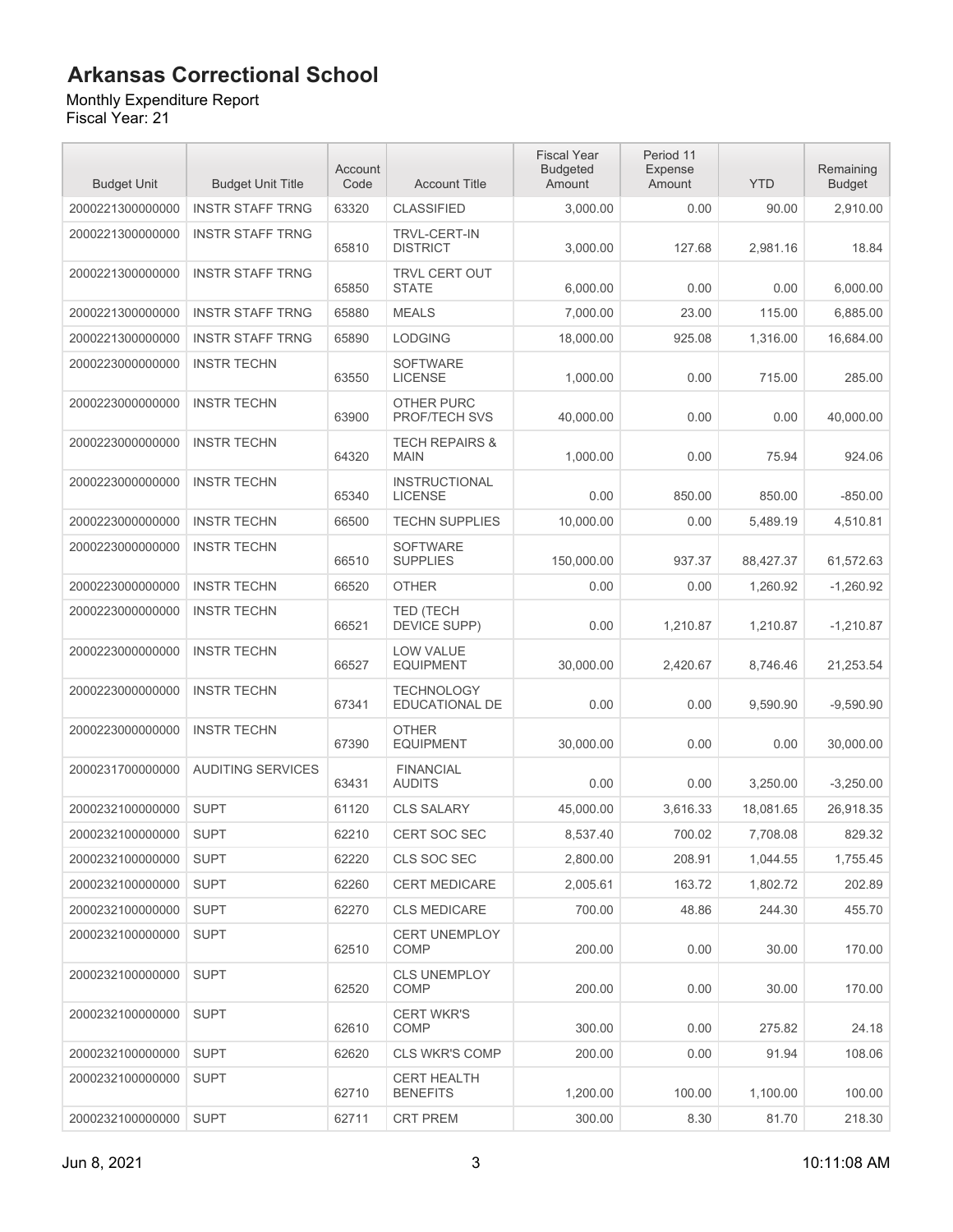#### Monthly Expenditure Report

| <b>Budget Unit</b> | <b>Budget Unit Title</b> | Account<br>Code | <b>Account Title</b>                     | <b>Fiscal Year</b><br><b>Budgeted</b><br>Amount | Period 11<br><b>Expense</b><br>Amount | <b>YTD</b> | Remaining<br><b>Budget</b> |
|--------------------|--------------------------|-----------------|------------------------------------------|-------------------------------------------------|---------------------------------------|------------|----------------------------|
| 2000221300000000   | <b>INSTR STAFF TRNG</b>  | 63320           | <b>CLASSIFIED</b>                        | 3,000.00                                        | 0.00                                  | 90.00      | 2,910.00                   |
| 2000221300000000   | <b>INSTR STAFF TRNG</b>  | 65810           | <b>TRVL-CERT-IN</b><br><b>DISTRICT</b>   | 3,000.00                                        | 127.68                                | 2.981.16   | 18.84                      |
| 2000221300000000   | <b>INSTR STAFF TRNG</b>  | 65850           | TRVL CERT OUT<br><b>STATE</b>            | 6,000.00                                        | 0.00                                  | 0.00       | 6,000.00                   |
| 2000221300000000   | <b>INSTR STAFF TRNG</b>  | 65880           | <b>MEALS</b>                             | 7,000.00                                        | 23.00                                 | 115.00     | 6,885.00                   |
| 2000221300000000   | <b>INSTR STAFF TRNG</b>  | 65890           | <b>LODGING</b>                           | 18,000.00                                       | 925.08                                | 1,316.00   | 16,684.00                  |
| 2000223000000000   | <b>INSTR TECHN</b>       | 63550           | <b>SOFTWARE</b><br><b>LICENSE</b>        | 1,000.00                                        | 0.00                                  | 715.00     | 285.00                     |
| 2000223000000000   | <b>INSTR TECHN</b>       | 63900           | <b>OTHER PURC</b><br>PROF/TECH SVS       | 40,000.00                                       | 0.00                                  | 0.00       | 40,000.00                  |
| 2000223000000000   | <b>INSTR TECHN</b>       | 64320           | <b>TECH REPAIRS &amp;</b><br><b>MAIN</b> | 1,000.00                                        | 0.00                                  | 75.94      | 924.06                     |
| 2000223000000000   | <b>INSTR TECHN</b>       | 65340           | <b>INSTRUCTIONAL</b><br><b>LICENSE</b>   | 0.00                                            | 850.00                                | 850.00     | $-850.00$                  |
| 2000223000000000   | <b>INSTR TECHN</b>       | 66500           | <b>TECHN SUPPLIES</b>                    | 10,000.00                                       | 0.00                                  | 5,489.19   | 4,510.81                   |
| 2000223000000000   | <b>INSTR TECHN</b>       | 66510           | <b>SOFTWARE</b><br><b>SUPPLIES</b>       | 150,000.00                                      | 937.37                                | 88,427.37  | 61,572.63                  |
| 2000223000000000   | <b>INSTR TECHN</b>       | 66520           | <b>OTHER</b>                             | 0.00                                            | 0.00                                  | 1,260.92   | $-1,260.92$                |
| 2000223000000000   | <b>INSTR TECHN</b>       | 66521           | <b>TED (TECH</b><br>DEVICE SUPP)         | 0.00                                            | 1,210.87                              | 1,210.87   | $-1,210.87$                |
| 2000223000000000   | <b>INSTR TECHN</b>       | 66527           | LOW VALUE<br><b>EQUIPMENT</b>            | 30,000.00                                       | 2,420.67                              | 8,746.46   | 21,253.54                  |
| 2000223000000000   | <b>INSTR TECHN</b>       | 67341           | <b>TECHNOLOGY</b><br>EDUCATIONAL DE      | 0.00                                            | 0.00                                  | 9,590.90   | $-9,590.90$                |
| 2000223000000000   | <b>INSTR TECHN</b>       | 67390           | <b>OTHER</b><br><b>EQUIPMENT</b>         | 30,000.00                                       | 0.00                                  | 0.00       | 30,000.00                  |
| 2000231700000000   | <b>AUDITING SERVICES</b> | 63431           | <b>FINANCIAL</b><br><b>AUDITS</b>        | 0.00                                            | 0.00                                  | 3,250.00   | $-3,250.00$                |
| 2000232100000000   | <b>SUPT</b>              | 61120           | <b>CLS SALARY</b>                        | 45,000.00                                       | 3,616.33                              | 18,081.65  | 26,918.35                  |
| 2000232100000000   | <b>SUPT</b>              | 62210           | <b>CERT SOC SEC</b>                      | 8,537.40                                        | 700.02                                | 7,708.08   | 829.32                     |
| 2000232100000000   | <b>SUPT</b>              | 62220           | CLS SOC SEC                              | 2,800.00                                        | 208.91                                | 1,044.55   | 1,755.45                   |
| 2000232100000000   | <b>SUPT</b>              | 62260           | <b>CERT MEDICARE</b>                     | 2,005.61                                        | 163.72                                | 1,802.72   | 202.89                     |
| 2000232100000000   | <b>SUPT</b>              | 62270           | <b>CLS MEDICARE</b>                      | 700.00                                          | 48.86                                 | 244.30     | 455.70                     |
| 2000232100000000   | <b>SUPT</b>              | 62510           | <b>CERT UNEMPLOY</b><br><b>COMP</b>      | 200.00                                          | 0.00                                  | 30.00      | 170.00                     |
| 2000232100000000   | <b>SUPT</b>              | 62520           | <b>CLS UNEMPLOY</b><br><b>COMP</b>       | 200.00                                          | 0.00                                  | 30.00      | 170.00                     |
| 2000232100000000   | <b>SUPT</b>              | 62610           | <b>CERT WKR'S</b><br>COMP                | 300.00                                          | 0.00                                  | 275.82     | 24.18                      |
| 2000232100000000   | <b>SUPT</b>              | 62620           | <b>CLS WKR'S COMP</b>                    | 200.00                                          | 0.00                                  | 91.94      | 108.06                     |
| 2000232100000000   | <b>SUPT</b>              | 62710           | <b>CERT HEALTH</b><br><b>BENEFITS</b>    | 1,200.00                                        | 100.00                                | 1,100.00   | 100.00                     |
| 2000232100000000   | <b>SUPT</b>              | 62711           | <b>CRT PREM</b>                          | 300.00                                          | 8.30                                  | 81.70      | 218.30                     |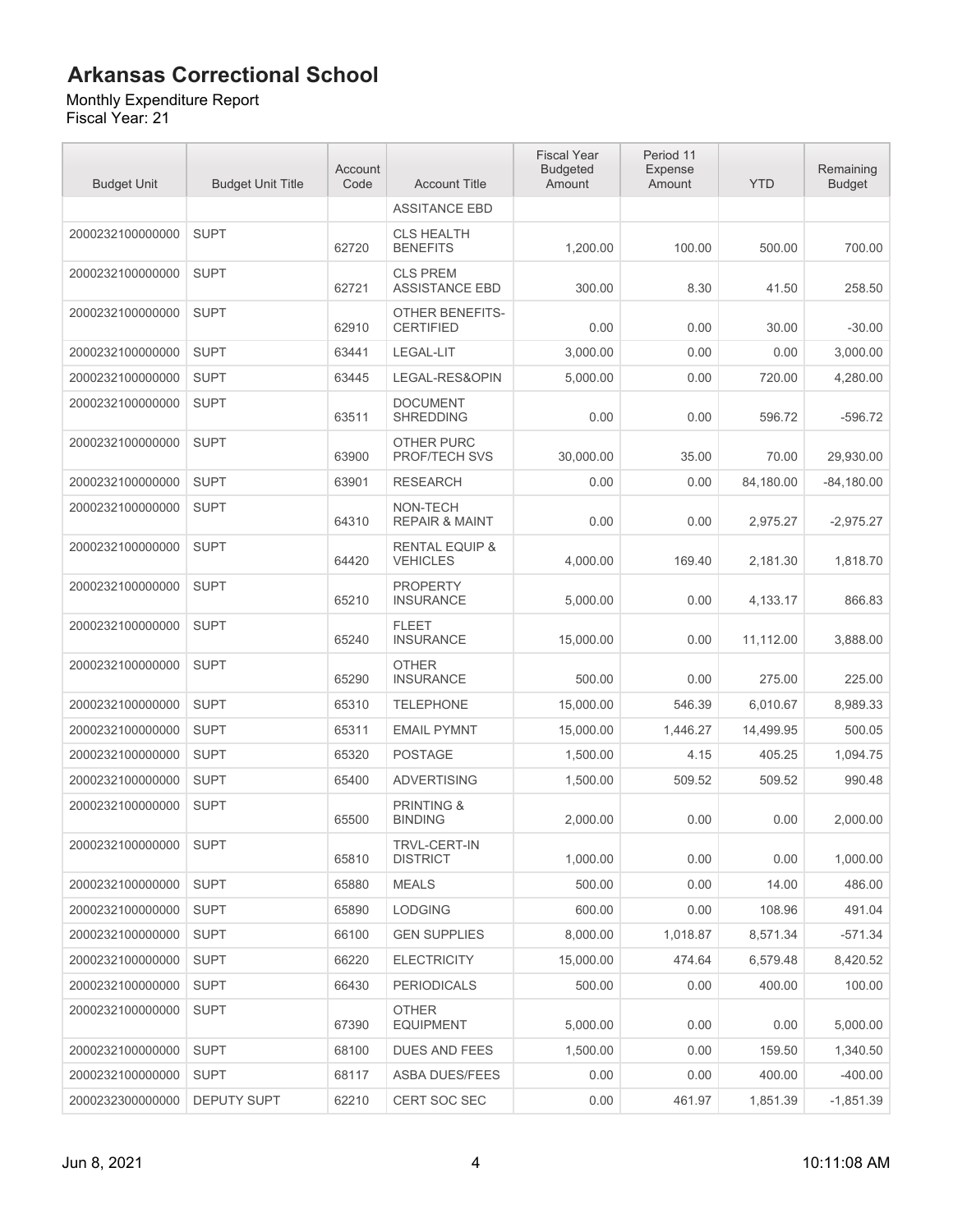Monthly Expenditure Report Fiscal Year: 21

| <b>Budget Unit</b> | <b>Budget Unit Title</b> | Account<br>Code | <b>Account Title</b>                         | <b>Fiscal Year</b><br><b>Budgeted</b><br>Amount | Period 11<br>Expense<br>Amount | <b>YTD</b> | Remaining<br><b>Budget</b> |
|--------------------|--------------------------|-----------------|----------------------------------------------|-------------------------------------------------|--------------------------------|------------|----------------------------|
|                    |                          |                 | <b>ASSITANCE EBD</b>                         |                                                 |                                |            |                            |
| 2000232100000000   | <b>SUPT</b>              | 62720           | <b>CLS HEALTH</b><br><b>BENEFITS</b>         | 1.200.00                                        | 100.00                         | 500.00     | 700.00                     |
| 2000232100000000   | <b>SUPT</b>              | 62721           | <b>CLS PREM</b><br><b>ASSISTANCE EBD</b>     | 300.00                                          | 8.30                           | 41.50      | 258.50                     |
| 2000232100000000   | <b>SUPT</b>              | 62910           | <b>OTHER BENEFITS-</b><br><b>CERTIFIED</b>   | 0.00                                            | 0.00                           | 30.00      | $-30.00$                   |
| 2000232100000000   | <b>SUPT</b>              | 63441           | LEGAL-LIT                                    | 3,000.00                                        | 0.00                           | 0.00       | 3,000.00                   |
| 2000232100000000   | <b>SUPT</b>              | 63445           | LEGAL-RES&OPIN                               | 5,000.00                                        | 0.00                           | 720.00     | 4,280.00                   |
| 2000232100000000   | <b>SUPT</b>              | 63511           | <b>DOCUMENT</b><br><b>SHREDDING</b>          | 0.00                                            | 0.00                           | 596.72     | $-596.72$                  |
| 2000232100000000   | <b>SUPT</b>              | 63900           | <b>OTHER PURC</b><br>PROF/TECH SVS           | 30,000.00                                       | 35.00                          | 70.00      | 29.930.00                  |
| 2000232100000000   | <b>SUPT</b>              | 63901           | <b>RESEARCH</b>                              | 0.00                                            | 0.00                           | 84.180.00  | $-84,180.00$               |
| 2000232100000000   | <b>SUPT</b>              | 64310           | NON-TECH<br><b>REPAIR &amp; MAINT</b>        | 0.00                                            | 0.00                           | 2,975.27   | $-2,975.27$                |
| 2000232100000000   | <b>SUPT</b>              | 64420           | <b>RENTAL EQUIP &amp;</b><br><b>VEHICLES</b> | 4,000.00                                        | 169.40                         | 2,181.30   | 1.818.70                   |
| 2000232100000000   | <b>SUPT</b>              | 65210           | <b>PROPERTY</b><br><b>INSURANCE</b>          | 5,000.00                                        | 0.00                           | 4,133.17   | 866.83                     |
| 2000232100000000   | <b>SUPT</b>              | 65240           | <b>FLEET</b><br><b>INSURANCE</b>             | 15,000.00                                       | 0.00                           | 11,112.00  | 3,888.00                   |
| 2000232100000000   | <b>SUPT</b>              | 65290           | <b>OTHER</b><br><b>INSURANCE</b>             | 500.00                                          | 0.00                           | 275.00     | 225.00                     |
| 2000232100000000   | <b>SUPT</b>              | 65310           | <b>TELEPHONE</b>                             | 15,000.00                                       | 546.39                         | 6,010.67   | 8,989.33                   |
| 2000232100000000   | <b>SUPT</b>              | 65311           | <b>EMAIL PYMNT</b>                           | 15,000.00                                       | 1,446.27                       | 14,499.95  | 500.05                     |
| 2000232100000000   | <b>SUPT</b>              | 65320           | <b>POSTAGE</b>                               | 1,500.00                                        | 4.15                           | 405.25     | 1,094.75                   |
| 2000232100000000   | <b>SUPT</b>              | 65400           | <b>ADVERTISING</b>                           | 1,500.00                                        | 509.52                         | 509.52     | 990.48                     |
| 2000232100000000   | <b>SUPT</b>              | 65500           | <b>PRINTING &amp;</b><br><b>BINDING</b>      | 2,000.00                                        | 0.00                           | 0.00       | 2,000.00                   |
| 2000232100000000   | <b>SUPT</b>              | 65810           | TRVL-CERT-IN<br><b>DISTRICT</b>              | 1,000.00                                        | 0.00                           | 0.00       | 1,000.00                   |
| 2000232100000000   | <b>SUPT</b>              | 65880           | <b>MEALS</b>                                 | 500.00                                          | 0.00                           | 14.00      | 486.00                     |
| 2000232100000000   | <b>SUPT</b>              | 65890           | <b>LODGING</b>                               | 600.00                                          | 0.00                           | 108.96     | 491.04                     |
| 2000232100000000   | <b>SUPT</b>              | 66100           | <b>GEN SUPPLIES</b>                          | 8,000.00                                        | 1,018.87                       | 8,571.34   | $-571.34$                  |
| 2000232100000000   | <b>SUPT</b>              | 66220           | <b>ELECTRICITY</b>                           | 15,000.00                                       | 474.64                         | 6,579.48   | 8,420.52                   |
| 2000232100000000   | <b>SUPT</b>              | 66430           | <b>PERIODICALS</b>                           | 500.00                                          | 0.00                           | 400.00     | 100.00                     |
| 2000232100000000   | <b>SUPT</b>              | 67390           | <b>OTHER</b><br><b>EQUIPMENT</b>             | 5,000.00                                        | 0.00                           | 0.00       | 5,000.00                   |
| 2000232100000000   | <b>SUPT</b>              | 68100           | DUES AND FEES                                | 1,500.00                                        | 0.00                           | 159.50     | 1,340.50                   |
| 2000232100000000   | <b>SUPT</b>              | 68117           | <b>ASBA DUES/FEES</b>                        | 0.00                                            | 0.00                           | 400.00     | $-400.00$                  |
| 2000232300000000   | DEPUTY SUPT              | 62210           | <b>CERT SOC SEC</b>                          | 0.00                                            | 461.97                         | 1,851.39   | $-1,851.39$                |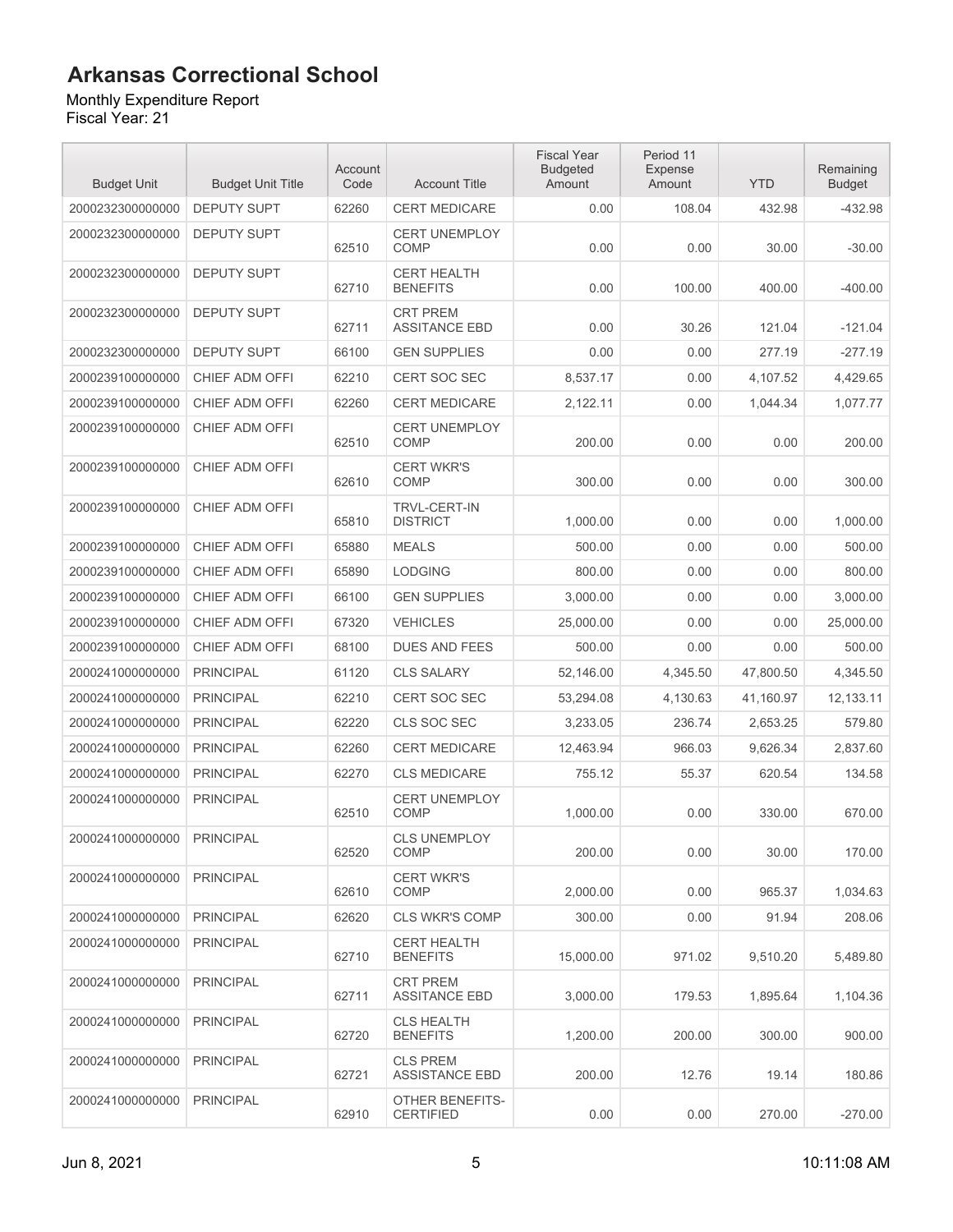#### Monthly Expenditure Report

| <b>Budget Unit</b> | <b>Budget Unit Title</b> | Account<br>Code | <b>Account Title</b>                     | <b>Fiscal Year</b><br><b>Budgeted</b><br>Amount | Period 11<br>Expense<br>Amount | <b>YTD</b> | Remaining<br><b>Budget</b> |
|--------------------|--------------------------|-----------------|------------------------------------------|-------------------------------------------------|--------------------------------|------------|----------------------------|
| 2000232300000000   | <b>DEPUTY SUPT</b>       | 62260           | <b>CERT MEDICARE</b>                     | 0.00                                            | 108.04                         | 432.98     | -432.98                    |
| 2000232300000000   | <b>DEPUTY SUPT</b>       | 62510           | <b>CERT UNEMPLOY</b><br><b>COMP</b>      | 0.00                                            | 0.00                           | 30.00      | $-30.00$                   |
| 2000232300000000   | <b>DEPUTY SUPT</b>       | 62710           | <b>CERT HEALTH</b><br><b>BENEFITS</b>    | 0.00                                            | 100.00                         | 400.00     | $-400.00$                  |
| 2000232300000000   | <b>DEPUTY SUPT</b>       | 62711           | <b>CRT PREM</b><br><b>ASSITANCE EBD</b>  | 0.00                                            | 30.26                          | 121.04     | $-121.04$                  |
| 2000232300000000   | <b>DEPUTY SUPT</b>       | 66100           | <b>GEN SUPPLIES</b>                      | 0.00                                            | 0.00                           | 277.19     | $-277.19$                  |
| 2000239100000000   | CHIEF ADM OFFI           | 62210           | <b>CERT SOC SEC</b>                      | 8,537.17                                        | 0.00                           | 4,107.52   | 4,429.65                   |
| 2000239100000000   | CHIEF ADM OFFI           | 62260           | <b>CERT MEDICARE</b>                     | 2,122.11                                        | 0.00                           | 1,044.34   | 1,077.77                   |
| 2000239100000000   | CHIEF ADM OFFI           | 62510           | <b>CERT UNEMPLOY</b><br>COMP             | 200.00                                          | 0.00                           | 0.00       | 200.00                     |
| 2000239100000000   | CHIEF ADM OFFI           | 62610           | <b>CERT WKR'S</b><br>COMP                | 300.00                                          | 0.00                           | 0.00       | 300.00                     |
| 2000239100000000   | CHIEF ADM OFFI           | 65810           | TRVL-CERT-IN<br><b>DISTRICT</b>          | 1,000.00                                        | 0.00                           | 0.00       | 1,000.00                   |
| 2000239100000000   | CHIEF ADM OFFI           | 65880           | <b>MEALS</b>                             | 500.00                                          | 0.00                           | 0.00       | 500.00                     |
| 2000239100000000   | CHIEF ADM OFFI           | 65890           | <b>LODGING</b>                           | 800.00                                          | 0.00                           | 0.00       | 800.00                     |
| 2000239100000000   | CHIEF ADM OFFI           | 66100           | <b>GEN SUPPLIES</b>                      | 3,000.00                                        | 0.00                           | 0.00       | 3,000.00                   |
| 2000239100000000   | CHIEF ADM OFFI           | 67320           | <b>VEHICLES</b>                          | 25,000.00                                       | 0.00                           | 0.00       | 25,000.00                  |
| 2000239100000000   | CHIEF ADM OFFI           | 68100           | <b>DUES AND FEES</b>                     | 500.00                                          | 0.00                           | 0.00       | 500.00                     |
| 2000241000000000   | <b>PRINCIPAL</b>         | 61120           | <b>CLS SALARY</b>                        | 52,146.00                                       | 4,345.50                       | 47,800.50  | 4,345.50                   |
| 2000241000000000   | <b>PRINCIPAL</b>         | 62210           | CERT SOC SEC                             | 53,294.08                                       | 4,130.63                       | 41,160.97  | 12,133.11                  |
| 2000241000000000   | <b>PRINCIPAL</b>         | 62220           | CLS SOC SEC                              | 3,233.05                                        | 236.74                         | 2,653.25   | 579.80                     |
| 2000241000000000   | <b>PRINCIPAL</b>         | 62260           | <b>CERT MEDICARE</b>                     | 12,463.94                                       | 966.03                         | 9.626.34   | 2,837.60                   |
| 2000241000000000   | <b>PRINCIPAL</b>         | 62270           | <b>CLS MEDICARE</b>                      | 755.12                                          | 55.37                          | 620.54     | 134.58                     |
| 2000241000000000   | <b>PRINCIPAL</b>         | 62510           | <b>CERT UNEMPLOY</b><br>COMP             | 1,000.00                                        | 0.00                           | 330.00     | 670.00                     |
| 2000241000000000   | <b>PRINCIPAL</b>         | 62520           | <b>CLS UNEMPLOY</b><br>COMP              | 200.00                                          | 0.00                           | 30.00      | 170.00                     |
| 2000241000000000   | <b>PRINCIPAL</b>         | 62610           | <b>CERT WKR'S</b><br>COMP                | 2,000.00                                        | 0.00                           | 965.37     | 1,034.63                   |
| 2000241000000000   | <b>PRINCIPAL</b>         | 62620           | <b>CLS WKR'S COMP</b>                    | 300.00                                          | 0.00                           | 91.94      | 208.06                     |
| 2000241000000000   | <b>PRINCIPAL</b>         | 62710           | <b>CERT HEALTH</b><br><b>BENEFITS</b>    | 15,000.00                                       | 971.02                         | 9,510.20   | 5,489.80                   |
| 2000241000000000   | <b>PRINCIPAL</b>         | 62711           | <b>CRT PREM</b><br><b>ASSITANCE EBD</b>  | 3,000.00                                        | 179.53                         | 1,895.64   | 1,104.36                   |
| 2000241000000000   | <b>PRINCIPAL</b>         | 62720           | <b>CLS HEALTH</b><br><b>BENEFITS</b>     | 1,200.00                                        | 200.00                         | 300.00     | 900.00                     |
| 2000241000000000   | <b>PRINCIPAL</b>         | 62721           | <b>CLS PREM</b><br><b>ASSISTANCE EBD</b> | 200.00                                          | 12.76                          | 19.14      | 180.86                     |
| 2000241000000000   | <b>PRINCIPAL</b>         | 62910           | OTHER BENEFITS-<br><b>CERTIFIED</b>      | 0.00                                            | 0.00                           | 270.00     | $-270.00$                  |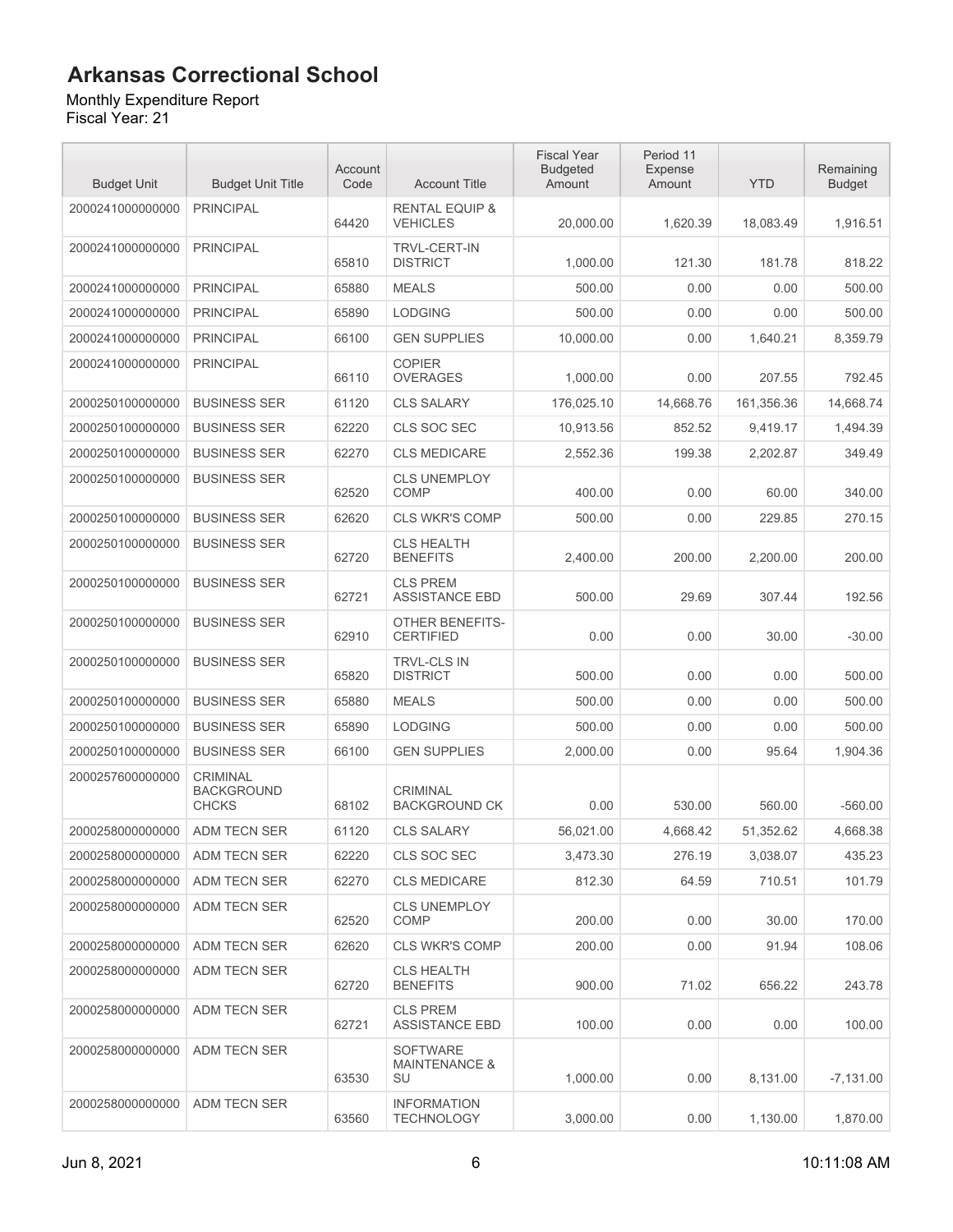#### Monthly Expenditure Report

| <b>Budget Unit</b> | <b>Budget Unit Title</b>                             | Account<br>Code | <b>Account Title</b>                              | <b>Fiscal Year</b><br><b>Budgeted</b><br>Amount | Period 11<br><b>Expense</b><br>Amount | <b>YTD</b> | Remaining<br><b>Budget</b> |
|--------------------|------------------------------------------------------|-----------------|---------------------------------------------------|-------------------------------------------------|---------------------------------------|------------|----------------------------|
| 2000241000000000   | <b>PRINCIPAL</b>                                     | 64420           | <b>RENTAL EQUIP &amp;</b><br><b>VEHICLES</b>      | 20,000.00                                       | 1,620.39                              | 18,083.49  | 1,916.51                   |
| 2000241000000000   | <b>PRINCIPAL</b>                                     | 65810           | <b>TRVL-CERT-IN</b><br><b>DISTRICT</b>            | 1,000.00                                        | 121.30                                | 181.78     | 818.22                     |
| 2000241000000000   | <b>PRINCIPAL</b>                                     | 65880           | <b>MEALS</b>                                      | 500.00                                          | 0.00                                  | 0.00       | 500.00                     |
| 2000241000000000   | <b>PRINCIPAL</b>                                     | 65890           | <b>LODGING</b>                                    | 500.00                                          | 0.00                                  | 0.00       | 500.00                     |
| 2000241000000000   | <b>PRINCIPAL</b>                                     | 66100           | <b>GEN SUPPLIES</b>                               | 10.000.00                                       | 0.00                                  | 1,640.21   | 8,359.79                   |
| 2000241000000000   | <b>PRINCIPAL</b>                                     | 66110           | <b>COPIER</b><br><b>OVERAGES</b>                  | 1,000.00                                        | 0.00                                  | 207.55     | 792.45                     |
| 2000250100000000   | <b>BUSINESS SER</b>                                  | 61120           | <b>CLS SALARY</b>                                 | 176,025.10                                      | 14,668.76                             | 161,356.36 | 14,668.74                  |
| 2000250100000000   | <b>BUSINESS SER</b>                                  | 62220           | CLS SOC SEC                                       | 10,913.56                                       | 852.52                                | 9,419.17   | 1,494.39                   |
| 2000250100000000   | <b>BUSINESS SER</b>                                  | 62270           | <b>CLS MEDICARE</b>                               | 2,552.36                                        | 199.38                                | 2,202.87   | 349.49                     |
| 2000250100000000   | <b>BUSINESS SER</b>                                  | 62520           | <b>CLS UNEMPLOY</b><br>COMP                       | 400.00                                          | 0.00                                  | 60.00      | 340.00                     |
| 2000250100000000   | <b>BUSINESS SER</b>                                  | 62620           | <b>CLS WKR'S COMP</b>                             | 500.00                                          | 0.00                                  | 229.85     | 270.15                     |
| 2000250100000000   | <b>BUSINESS SER</b>                                  | 62720           | <b>CLS HEALTH</b><br><b>BENEFITS</b>              | 2.400.00                                        | 200.00                                | 2,200.00   | 200.00                     |
| 2000250100000000   | <b>BUSINESS SER</b>                                  | 62721           | <b>CLS PREM</b><br><b>ASSISTANCE EBD</b>          | 500.00                                          | 29.69                                 | 307.44     | 192.56                     |
| 2000250100000000   | <b>BUSINESS SER</b>                                  | 62910           | OTHER BENEFITS-<br><b>CERTIFIED</b>               | 0.00                                            | 0.00                                  | 30.00      | $-30.00$                   |
| 2000250100000000   | <b>BUSINESS SER</b>                                  | 65820           | <b>TRVL-CLS IN</b><br><b>DISTRICT</b>             | 500.00                                          | 0.00                                  | 0.00       | 500.00                     |
| 2000250100000000   | <b>BUSINESS SER</b>                                  | 65880           | <b>MEALS</b>                                      | 500.00                                          | 0.00                                  | 0.00       | 500.00                     |
| 2000250100000000   | <b>BUSINESS SER</b>                                  | 65890           | <b>LODGING</b>                                    | 500.00                                          | 0.00                                  | 0.00       | 500.00                     |
| 2000250100000000   | <b>BUSINESS SER</b>                                  | 66100           | <b>GEN SUPPLIES</b>                               | 2,000.00                                        | 0.00                                  | 95.64      | 1,904.36                   |
| 2000257600000000   | <b>CRIMINAL</b><br><b>BACKGROUND</b><br><b>CHCKS</b> | 68102           | <b>CRIMINAL</b><br><b>BACKGROUND CK</b>           | 0.00                                            | 530.00                                | 560.00     | $-560.00$                  |
| 2000258000000000   | <b>ADM TECN SER</b>                                  | 61120           | <b>CLS SALARY</b>                                 | 56,021.00                                       | 4,668.42                              | 51,352.62  | 4.668.38                   |
| 2000258000000000   | ADM TECN SER                                         | 62220           | CLS SOC SEC                                       | 3,473.30                                        | 276.19                                | 3,038.07   | 435.23                     |
| 2000258000000000   | ADM TECN SER                                         | 62270           | <b>CLS MEDICARE</b>                               | 812.30                                          | 64.59                                 | 710.51     | 101.79                     |
| 2000258000000000   | ADM TECN SER                                         | 62520           | <b>CLS UNEMPLOY</b><br><b>COMP</b>                | 200.00                                          | 0.00                                  | 30.00      | 170.00                     |
| 2000258000000000   | ADM TECN SER                                         | 62620           | <b>CLS WKR'S COMP</b>                             | 200.00                                          | 0.00                                  | 91.94      | 108.06                     |
| 2000258000000000   | ADM TECN SER                                         | 62720           | <b>CLS HEALTH</b><br><b>BENEFITS</b>              | 900.00                                          | 71.02                                 | 656.22     | 243.78                     |
| 2000258000000000   | ADM TECN SER                                         | 62721           | <b>CLS PREM</b><br><b>ASSISTANCE EBD</b>          | 100.00                                          | 0.00                                  | 0.00       | 100.00                     |
| 2000258000000000   | ADM TECN SER                                         | 63530           | <b>SOFTWARE</b><br><b>MAINTENANCE &amp;</b><br>SU | 1,000.00                                        | 0.00                                  | 8,131.00   | $-7,131.00$                |
| 2000258000000000   | ADM TECN SER                                         | 63560           | <b>INFORMATION</b><br><b>TECHNOLOGY</b>           | 3,000.00                                        | 0.00                                  | 1,130.00   | 1,870.00                   |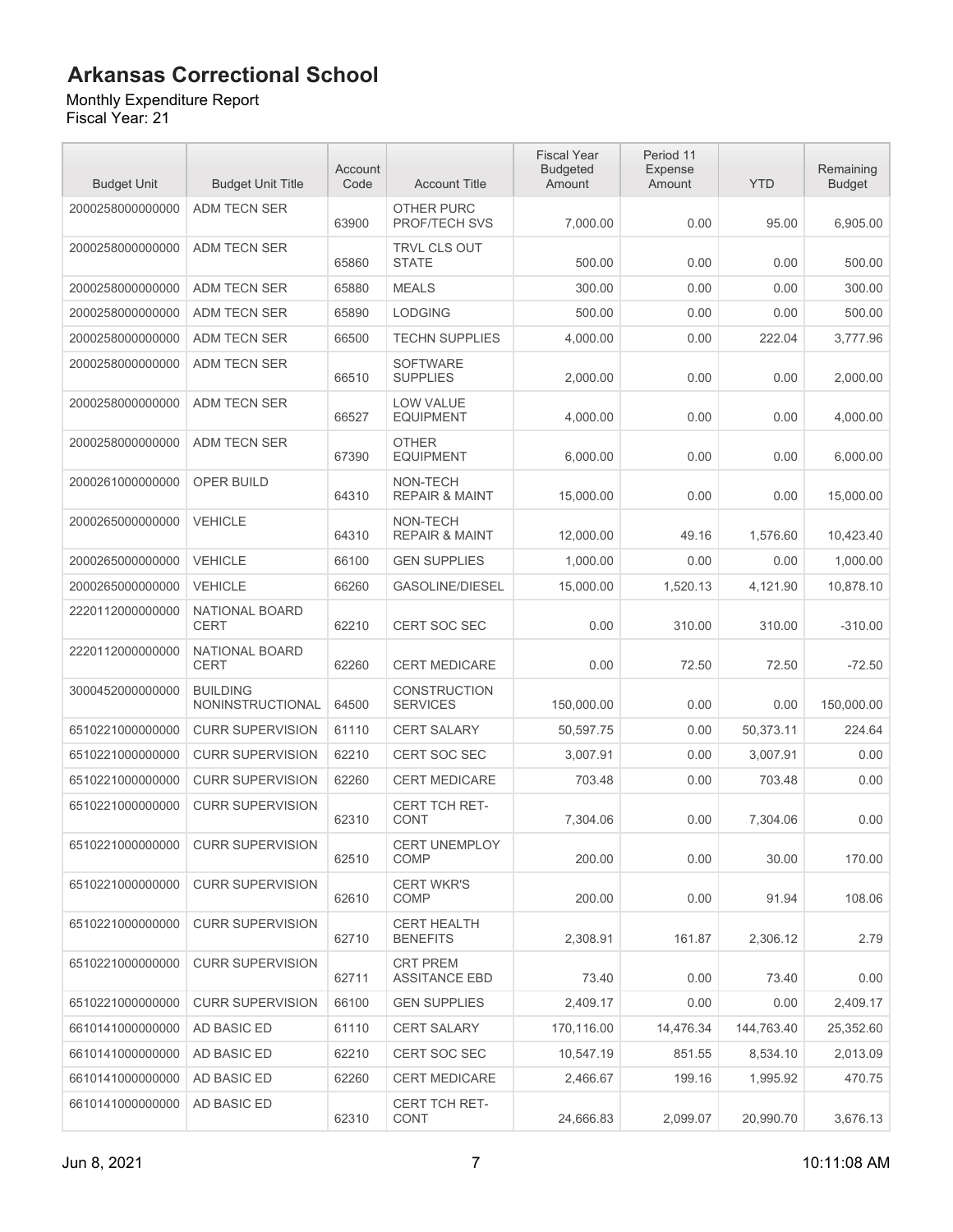Monthly Expenditure Report

| <b>Budget Unit</b> | <b>Budget Unit Title</b>            | Account<br>Code | <b>Account Title</b>                      | <b>Fiscal Year</b><br><b>Budgeted</b><br>Amount | Period 11<br>Expense<br>Amount | <b>YTD</b> | Remaining<br><b>Budget</b> |
|--------------------|-------------------------------------|-----------------|-------------------------------------------|-------------------------------------------------|--------------------------------|------------|----------------------------|
| 2000258000000000   | <b>ADM TECN SER</b>                 | 63900           | <b>OTHER PURC</b><br><b>PROF/TECH SVS</b> | 7,000.00                                        | 0.00                           | 95.00      | 6,905.00                   |
| 2000258000000000   | <b>ADM TECN SER</b>                 | 65860           | <b>TRVL CLS OUT</b><br><b>STATE</b>       | 500.00                                          | 0.00                           | 0.00       | 500.00                     |
| 2000258000000000   | ADM TECN SER                        | 65880           | <b>MEALS</b>                              | 300.00                                          | 0.00                           | 0.00       | 300.00                     |
| 2000258000000000   | ADM TECN SER                        | 65890           | <b>LODGING</b>                            | 500.00                                          | 0.00                           | 0.00       | 500.00                     |
| 2000258000000000   | ADM TECN SER                        | 66500           | <b>TECHN SUPPLIES</b>                     | 4,000.00                                        | 0.00                           | 222.04     | 3,777.96                   |
| 2000258000000000   | <b>ADM TECN SER</b>                 | 66510           | <b>SOFTWARE</b><br><b>SUPPLIES</b>        | 2,000.00                                        | 0.00                           | 0.00       | 2,000.00                   |
| 2000258000000000   | <b>ADM TECN SER</b>                 | 66527           | <b>LOW VALUE</b><br><b>EQUIPMENT</b>      | 4,000.00                                        | 0.00                           | 0.00       | 4,000.00                   |
| 2000258000000000   | ADM TECN SER                        | 67390           | <b>OTHER</b><br><b>EQUIPMENT</b>          | 6,000.00                                        | 0.00                           | 0.00       | 6,000.00                   |
| 2000261000000000   | <b>OPER BUILD</b>                   | 64310           | NON-TECH<br><b>REPAIR &amp; MAINT</b>     | 15,000.00                                       | 0.00                           | 0.00       | 15,000.00                  |
| 2000265000000000   | <b>VEHICLE</b>                      | 64310           | NON-TECH<br><b>REPAIR &amp; MAINT</b>     | 12,000.00                                       | 49.16                          | 1,576.60   | 10,423.40                  |
| 2000265000000000   | <b>VEHICLE</b>                      | 66100           | <b>GEN SUPPLIES</b>                       | 1,000.00                                        | 0.00                           | 0.00       | 1,000.00                   |
| 2000265000000000   | <b>VEHICLE</b>                      | 66260           | <b>GASOLINE/DIESEL</b>                    | 15.000.00                                       | 1,520.13                       | 4,121.90   | 10,878.10                  |
| 2220112000000000   | NATIONAL BOARD<br><b>CERT</b>       | 62210           | <b>CERT SOC SEC</b>                       | 0.00                                            | 310.00                         | 310.00     | $-310.00$                  |
| 2220112000000000   | NATIONAL BOARD<br><b>CERT</b>       | 62260           | <b>CERT MEDICARE</b>                      | 0.00                                            | 72.50                          | 72.50      | $-72.50$                   |
| 3000452000000000   | <b>BUILDING</b><br>NONINSTRUCTIONAL | 64500           | <b>CONSTRUCTION</b><br><b>SERVICES</b>    | 150,000.00                                      | 0.00                           | 0.00       | 150,000.00                 |
| 6510221000000000   | <b>CURR SUPERVISION</b>             | 61110           | <b>CERT SALARY</b>                        | 50,597.75                                       | 0.00                           | 50,373.11  | 224.64                     |
| 6510221000000000   | <b>CURR SUPERVISION</b>             | 62210           | CERT SOC SEC                              | 3,007.91                                        | 0.00                           | 3,007.91   | 0.00                       |
| 6510221000000000   | <b>CURR SUPERVISION</b>             | 62260           | <b>CERT MEDICARE</b>                      | 703.48                                          | 0.00                           | 703.48     | 0.00                       |
| 6510221000000000   | <b>CURR SUPERVISION</b>             | 62310           | <b>CERT TCH RET-</b><br><b>CONT</b>       | 7,304.06                                        | 0.00                           | 7,304.06   | 0.00                       |
| 6510221000000000   | <b>CURR SUPERVISION</b>             | 62510           | CERT UNEMPLOY<br><b>COMP</b>              | 200.00                                          | 0.00                           | 30.00      | 170.00                     |
| 6510221000000000   | <b>CURR SUPERVISION</b>             | 62610           | <b>CERT WKR'S</b><br><b>COMP</b>          | 200.00                                          | 0.00                           | 91.94      | 108.06                     |
| 6510221000000000   | <b>CURR SUPERVISION</b>             | 62710           | <b>CERT HEALTH</b><br><b>BENEFITS</b>     | 2,308.91                                        | 161.87                         | 2,306.12   | 2.79                       |
| 6510221000000000   | <b>CURR SUPERVISION</b>             | 62711           | <b>CRT PREM</b><br><b>ASSITANCE EBD</b>   | 73.40                                           | 0.00                           | 73.40      | 0.00                       |
| 6510221000000000   | <b>CURR SUPERVISION</b>             | 66100           | <b>GEN SUPPLIES</b>                       | 2,409.17                                        | 0.00                           | 0.00       | 2,409.17                   |
| 6610141000000000   | AD BASIC ED                         | 61110           | <b>CERT SALARY</b>                        | 170,116.00                                      | 14,476.34                      | 144,763.40 | 25,352.60                  |
| 6610141000000000   | AD BASIC ED                         | 62210           | CERT SOC SEC                              | 10,547.19                                       | 851.55                         | 8,534.10   | 2,013.09                   |
| 6610141000000000   | AD BASIC ED                         | 62260           | <b>CERT MEDICARE</b>                      | 2,466.67                                        | 199.16                         | 1,995.92   | 470.75                     |
| 6610141000000000   | AD BASIC ED                         | 62310           | CERT TCH RET-<br>CONT                     | 24,666.83                                       | 2,099.07                       | 20,990.70  | 3,676.13                   |